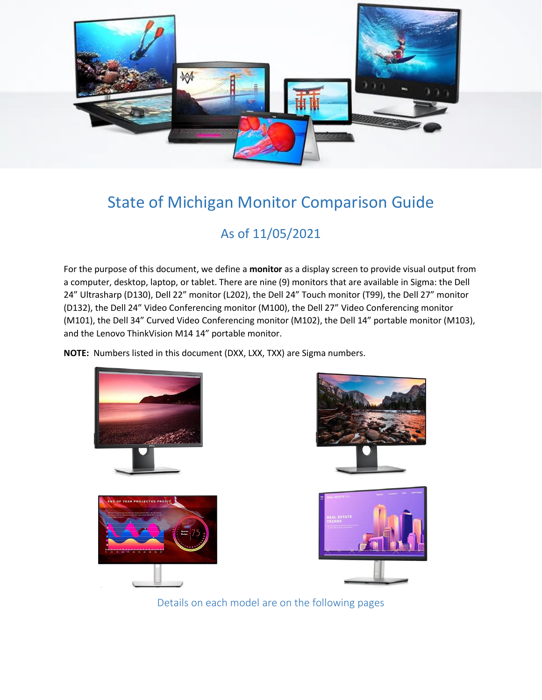

# State of Michigan Monitor Comparison Guide

## As of 11/05/2021

For the purpose of this document, we define a **monitor** as a display screen to provide visual output from a computer, desktop, laptop, or tablet. There are nine (9) monitors that are available in Sigma: the Dell 24" Ultrasharp (D130), Dell 22" monitor (L202), the Dell 24" Touch monitor (T99), the Dell 27" monitor (D132), the Dell 24" Video Conferencing monitor (M100), the Dell 27" Video Conferencing monitor (M101), the Dell 34" Curved Video Conferencing monitor (M102), the Dell 14" portable monitor (M103), and the Lenovo ThinkVision M14 14" portable monitor.

**NOTE:** Numbers listed in this document (DXX, LXX, TXX) are Sigma numbers.



Details on each model are on the following pages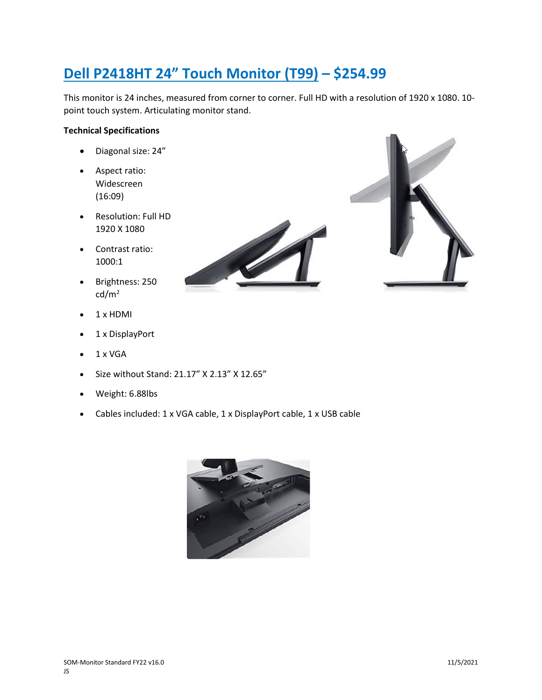# **Dell P2418HT 24" Touch Monitor (T99) – \$254.99**

This monitor is 24 inches, measured from corner to corner. Full HD with a resolution of 1920 x 1080. 10 point touch system. Articulating monitor stand.

### **Technical Specifications**

- Diagonal size: 24"
- Aspect ratio: Widescreen  $(16:09)$
- Resolution: Full HD 1920 X 1080
- Contrast ratio: 1000:1
- Brightness: 250  $cd/m<sup>2</sup>$
- 1 x HDMI
- 1 x DisplayPort
- $\bullet$  1 x VGA
- Size without Stand: 21.17" X 2.13" X 12.65"
- Weight: 6.88lbs
- Cables included: 1 x VGA cable, 1 x DisplayPort cable, 1 x USB cable



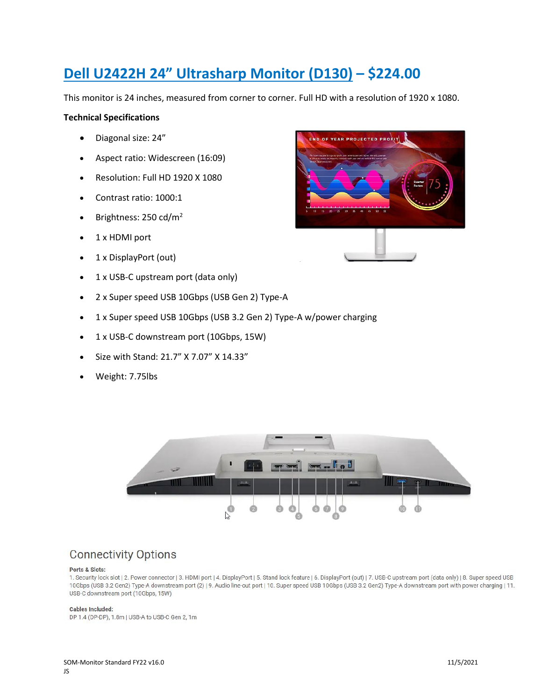## **Dell U2422H 24" Ultrasharp Monitor (D130) – \$224.00**

This monitor is 24 inches, measured from corner to corner. Full HD with a resolution of 1920 x 1080.

### **Technical Specifications**

- Diagonal size: 24"
- Aspect ratio: Widescreen (16:09)
- Resolution: Full HD 1920 X 1080
- Contrast ratio: 1000:1
- Brightness:  $250 \text{ cd/m}^2$
- 1 x HDMI port
- 1 x DisplayPort (out)
- 1 x USB-C upstream port (data only)
- 2 x Super speed USB 10Gbps (USB Gen 2) Type-A
- 1 x Super speed USB 10Gbps (USB 3.2 Gen 2) Type-A w/power charging
- 1 x USB-C downstream port (10Gbps, 15W)
- Size with Stand: 21.7" X 7.07" X 14.33"
- Weight: 7.75lbs





## **Connectivity Options**

#### Ports & Slots:

1. Security lock slot | 2. Power connector | 3. HDMI port | 4. DisplayPort | 5. Stand lock feature | 6. DisplayPort (out) | 7. USB-C upstream port (data only) | 8. Super speed USB 10Gbps (USB 3.2 Gen2) Type-A downstream port (2) | 9. Audio line-out port | 10. Super speed USB 10Gbps (USB 3.2 Gen2) Type-A downstream port with power charging | 11. USB-C downstream port (10Gbps, 15W)

#### **Cables Included:**

DP 1.4 (DP-DP), 1.8m | USB-A to USB-C Gen 2, 1m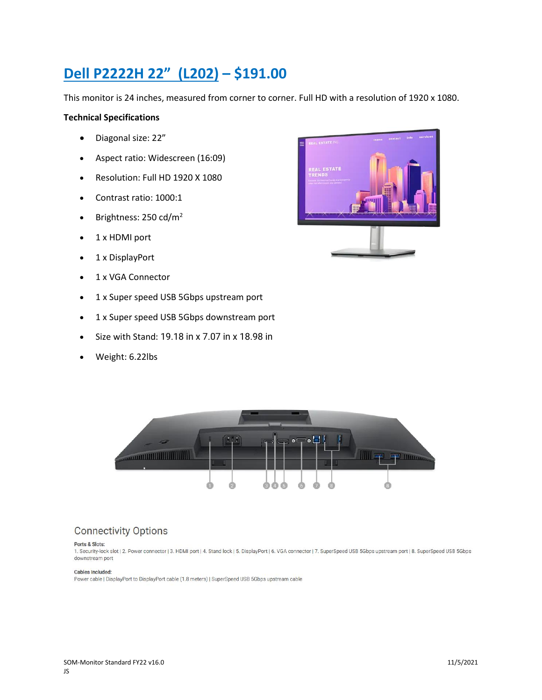# **Dell P2222H 22" (L202) – \$191.00**

This monitor is 24 inches, measured from corner to corner. Full HD with a resolution of 1920 x 1080.

### **Technical Specifications**

- Diagonal size: 22"
- Aspect ratio: Widescreen (16:09)
- Resolution: Full HD 1920 X 1080
- Contrast ratio: 1000:1
- Brightness:  $250 \text{ cd/m}^2$
- 1 x HDMI port
- 1 x DisplayPort
- 1 x VGA Connector
- 1 x Super speed USB 5Gbps upstream port
- 1 x Super speed USB 5Gbps downstream port
- Size with Stand: 19.18 in x 7.07 in x 18.98 in
- Weight: 6.22lbs





## **Connectivity Options**

#### Ports & Slots:

1. Security-lock slot | 2. Power connector | 3. HDMI port | 4. Stand lock | 5. DisplayPort | 6. VGA connector | 7. SuperSpeed USB 5Gbps upstream port | 8. SuperSpeed USB 5Gbps downstream port

#### Cables Included:

Power cable | DisplayPort to DisplayPort cable (1.8 meters) | SuperSpeed USB 5Gbps upstream cable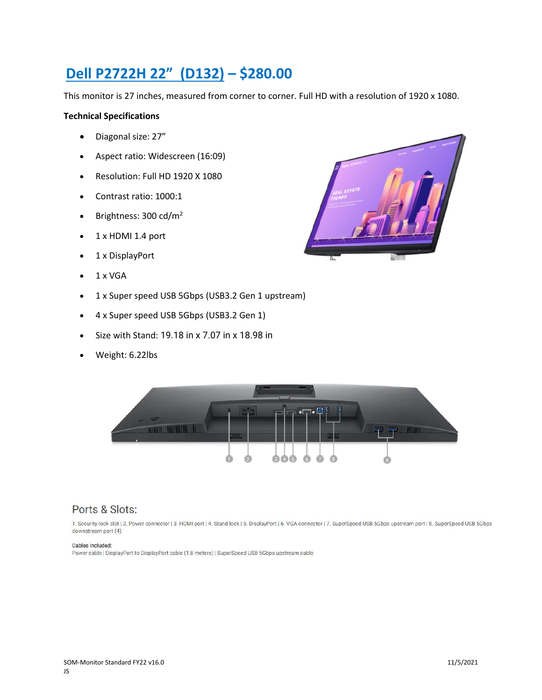## **Dell P2722H 22" (D132) – \$280.00**

This monitor is 27 inches, measured from corner to corner. Full HD with a resolution of 1920 x 1080.

### **Technical Specifications**

- Diagonal size: 27"
- Aspect ratio: Widescreen (16:09)
- Resolution: Full HD 1920 X 1080
- Contrast ratio: 1000:1
- Brightness: 300 cd/m<sup>2</sup>
- 1 x HDMI 1.4 port
- 1 x DisplayPort
- $\bullet$  1 x VGA
- 1 x Super speed USB 5Gbps (USB3.2 Gen 1 upstream)
- 4 x Super speed USB 5Gbps (USB3.2 Gen 1)
- Size with Stand: 19.18 in x 7.07 in x 18.98 in
- Weight: 6.22lbs





### Ports & Slots:

1. Security-lock slot | 2. Power connector | 3. HDMI port | 4. Stand lock | 5. DisplayPort | 6. VGA connector | 7. SuperSpeed USB 5Gbps upstream port | 8. SuperSpeed USB 5Gbps downstream port (4)

#### Cables Included:

Power cable | DisplayPort to DisplayPort cable (1.8 meters) | SuperSpeed USB 5Gbps upstream cable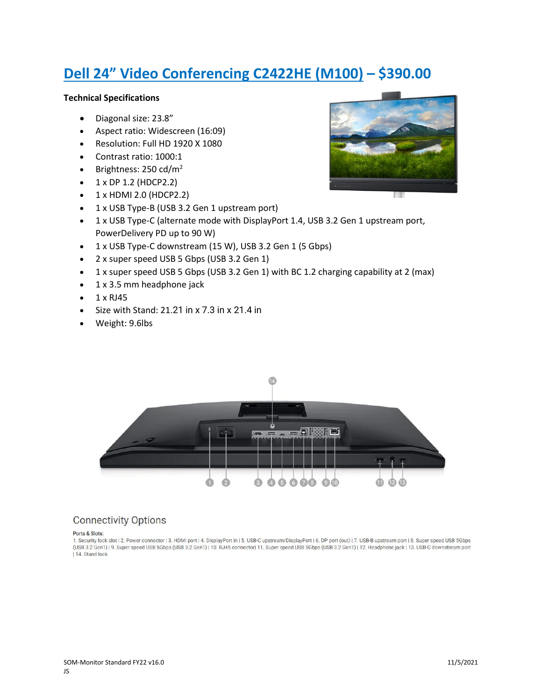# **Dell 24" Video Conferencing C2422HE (M100) – \$390.00**

#### **Technical Specifications**

- Diagonal size: 23.8"
- Aspect ratio: Widescreen (16:09)
- Resolution: Full HD 1920 X 1080
- Contrast ratio: 1000:1
- Brightness:  $250 \text{ cd/m}^2$
- $\bullet$  1 x DP 1.2 (HDCP2.2)
- $\bullet$  1 x HDMI 2.0 (HDCP2.2)
- 1 x USB Type-B (USB 3.2 Gen 1 upstream port)
- 1 x USB Type-C (alternate mode with DisplayPort 1.4, USB 3.2 Gen 1 upstream port, PowerDelivery PD up to 90 W)
- 1 x USB Type-C downstream (15 W), USB 3.2 Gen 1 (5 Gbps)
- 2 x super speed USB 5 Gbps (USB 3.2 Gen 1)
- 1 x super speed USB 5 Gbps (USB 3.2 Gen 1) with BC 1.2 charging capability at 2 (max)
- 1 x 3.5 mm headphone jack
- 1 x RJ45
- Size with Stand: 21.21 in x 7.3 in x 21.4 in
- Weight: 9.6lbs



### **Connectivity Options**

#### Ports & Slots:

1. Security lock slot | 2. Power connector | 3. HDMI port | 4. DisplayPort in | 5. USB-C upstream/DisplayPort | 6. DP port (out) | 7. USB-B upstream port | 8. Super speed USB 5Gbps (USB 3.2 Gen1) | 9. Super speed USB 5Gbps (USB 3.2 Gen1) | 10. RJ45 connector| 11. Super speed USB 5Gbps (USB 3.2 Gen1) | 12. Headphone jack | 13. USB-C downstream port | 14. Stand lock

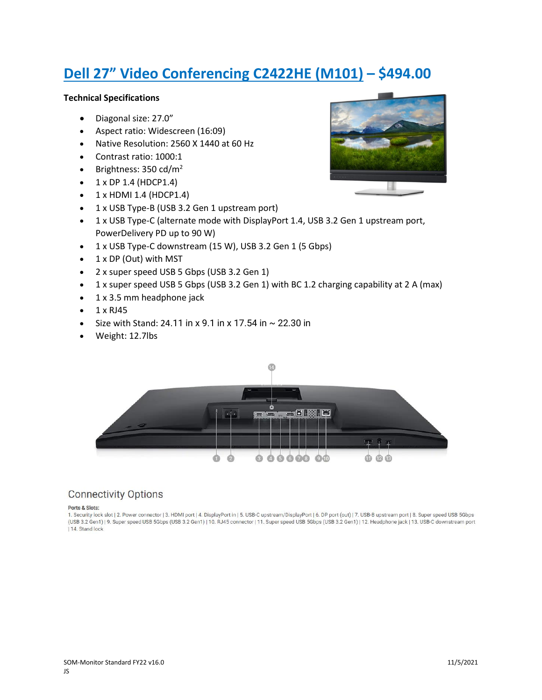# **Dell 27" Video Conferencing C2422HE (M101) – \$494.00**

#### **Technical Specifications**

- Diagonal size: 27.0"
- Aspect ratio: Widescreen (16:09)
- Native Resolution: 2560 X 1440 at 60 Hz
- Contrast ratio: 1000:1
- Brightness:  $350 \text{ cd/m}^2$
- $\bullet$  1 x DP 1.4 (HDCP1.4)
- $\bullet$  1 x HDMI 1.4 (HDCP1.4)
- 1 x USB Type-B (USB 3.2 Gen 1 upstream port)
- 1 x USB Type-C (alternate mode with DisplayPort 1.4, USB 3.2 Gen 1 upstream port, PowerDelivery PD up to 90 W)
- 1 x USB Type-C downstream (15 W), USB 3.2 Gen 1 (5 Gbps)
- 1 x DP (Out) with MST
- 2 x super speed USB 5 Gbps (USB 3.2 Gen 1)
- 1 x super speed USB 5 Gbps (USB 3.2 Gen 1) with BC 1.2 charging capability at 2 A (max)
- 1 x 3.5 mm headphone jack
- $\bullet$  1 x RJ45
- Size with Stand: 24.11 in x 9.1 in x 17.54 in  $\sim$  22.30 in
- Weight: 12.7lbs



### **Connectivity Options**

#### Ports & Slots:

1. Security lock slot | 2. Power connector | 3. HDMI port | 4. DisplayPort in | 5. USB-C upstream/DisplayPort | 6. DP port (out) | 7. USB-B upstream port | 8. Super speed USB 5Gbps (USB 3.2 Gen1) | 9. Super speed USB 5Gbps (USB 3.2 Gen1) | 10. RJ45 connector | 11. Super speed USB 5Gbps (USB 3.2 Gen1) | 12. Headphone jack | 13. USB-C downstream port | 14. Stand lock

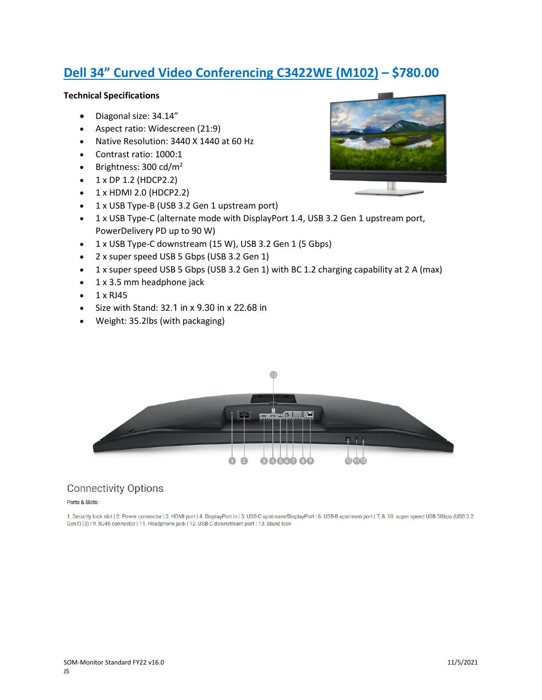## **Dell 34" Curved Video Conferencing C3422WE (M102) – \$780.00**

### **Technical Specifications**

- Diagonal size: 34.14"
- Aspect ratio: Widescreen (21:9)
- Native Resolution: 3440 X 1440 at 60 Hz
- Contrast ratio: 1000:1
- Brightness:  $300 \text{ cd/m}^2$
- $\bullet$  1 x DP 1.2 (HDCP2.2)
- $\bullet$  1 x HDMI 2.0 (HDCP2.2)
- 1 x USB Type-B (USB 3.2 Gen 1 upstream port)
- 1 x USB Type-C (alternate mode with DisplayPort 1.4, USB 3.2 Gen 1 upstream port, PowerDelivery PD up to 90 W)
- 1 x USB Type-C downstream (15 W), USB 3.2 Gen 1 (5 Gbps)
- 2 x super speed USB 5 Gbps (USB 3.2 Gen 1)
- 1 x super speed USB 5 Gbps (USB 3.2 Gen 1) with BC 1.2 charging capability at 2 A (max)
- 1 x 3.5 mm headphone jack
- $\bullet$  1 x RJ45
- Size with Stand: 32.1 in x 9.30 in x 22.68 in
- Weight: 35.2lbs (with packaging)



## **Connectivity Options**

#### Ports & Slots:

1. Security lock slot | 2. Power connector | 3. HDMI port | 4. DisplayPort in | 5. USB-C upstream/DisplayPort | 6. USB-B upstream port | 7, 8, 10. super speed USB 5Gbps (USB 3.2 Gen1) (3) | 9. RJ45 connector | 11. Headphone jack | 12. USB-C downstream port | 13. Stand lock

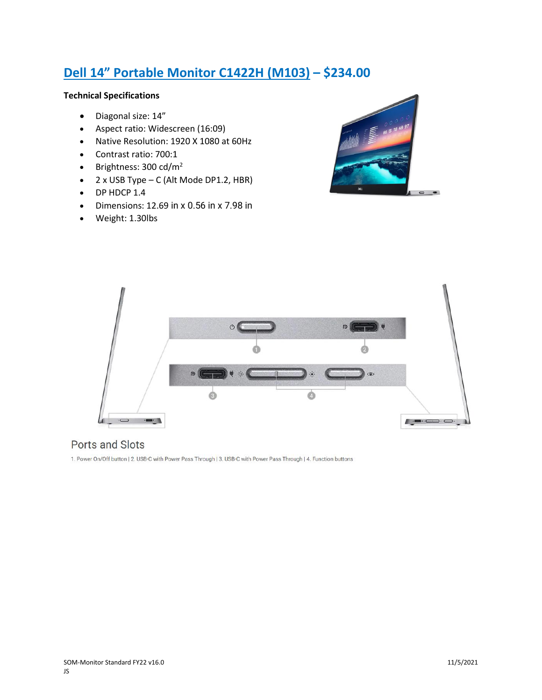## **Dell 14" Portable Monitor C1422H (M103) – \$234.00**

### **Technical Specifications**

- Diagonal size: 14"
- Aspect ratio: Widescreen (16:09)
- Native Resolution: 1920 X 1080 at 60Hz
- Contrast ratio: 700:1
- Brightness:  $300 \text{ cd/m}^2$
- 2 x USB Type C (Alt Mode DP1.2, HBR)
- DP HDCP 1.4
- Dimensions: 12.69 in x 0.56 in x 7.98 in
- Weight: 1.30lbs





## Ports and Slots

1. Power On/Off button | 2. USB-C with Power Pass Through | 3. USB-C with Power Pass Through | 4. Function buttons